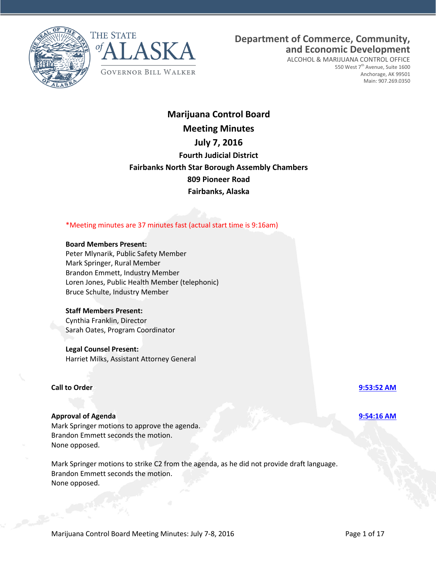



# **Department of Commerce, Community, and Economic Development**

ALCOHOL & MARIJUANA CONTROL OFFICE 550 West 7<sup>th</sup> Avenue, Suite 1600 Anchorage, AK 99501 Main: 907.269.0350

# **Marijuana Control Board Meeting Minutes July 7, 2016 Fourth Judicial District Fairbanks North Star Borough Assembly Chambers 809 Pioneer Road Fairbanks, Alaska**

# \*Meeting minutes are 37 minutes fast (actual start time is 9:16am)

### **Board Members Present:**

Peter Mlynarik, Public Safety Member Mark Springer, Rural Member Brandon Emmett, Industry Member Loren Jones, Public Health Member (telephonic) Bruce Schulte, Industry Member

### **Staff Members Present:**

Cynthia Franklin, Director Sarah Oates, Program Coordinator

### **Legal Counsel Present:**

Harriet Milks, Assistant Attorney General

### **Call to Order [9:53:52 AM](ftr://?location="ABC Board"?date="07-Jul-2016"?position="09:53:52"?Data="1f9a90e6")**

# **Approval of Agenda [9:54:16 AM](ftr://?location="ABC Board"?date="07-Jul-2016"?position="09:54:16"?Data="e9b55ede")**

Mark Springer motions to approve the agenda. Brandon Emmett seconds the motion. None opposed.

Mark Springer motions to strike C2 from the agenda, as he did not provide draft language. Brandon Emmett seconds the motion. None opposed.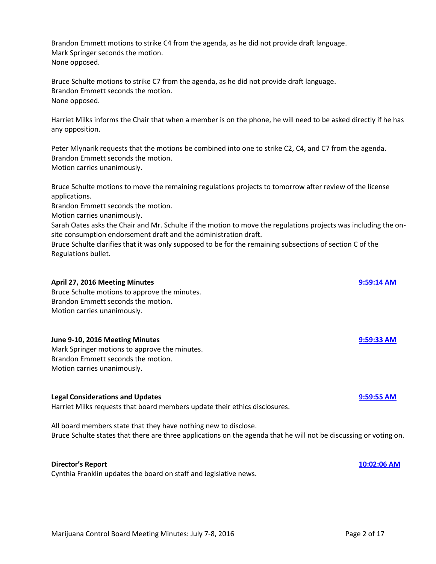Brandon Emmett motions to strike C4 from the agenda, as he did not provide draft language. Mark Springer seconds the motion. None opposed.

Bruce Schulte motions to strike C7 from the agenda, as he did not provide draft language. Brandon Emmett seconds the motion. None opposed.

Harriet Milks informs the Chair that when a member is on the phone, he will need to be asked directly if he has any opposition.

Peter Mlynarik requests that the motions be combined into one to strike C2, C4, and C7 from the agenda. Brandon Emmett seconds the motion. Motion carries unanimously.

Bruce Schulte motions to move the remaining regulations projects to tomorrow after review of the license applications.

Brandon Emmett seconds the motion.

Motion carries unanimously.

Sarah Oates asks the Chair and Mr. Schulte if the motion to move the regulations projects was including the onsite consumption endorsement draft and the administration draft.

Bruce Schulte clarifies that it was only supposed to be for the remaining subsections of section C of the Regulations bullet.

| <b>April 27, 2016 Meeting Minutes</b><br>Bruce Schulte motions to approve the minutes.<br>Brandon Emmett seconds the motion.<br>Motion carries unanimously.                          | 9:59:14 AM   |
|--------------------------------------------------------------------------------------------------------------------------------------------------------------------------------------|--------------|
| June 9-10, 2016 Meeting Minutes<br>Mark Springer motions to approve the minutes.<br>Brandon Emmett seconds the motion.<br>Motion carries unanimously.                                | 9:59:33 AM   |
| <b>Legal Considerations and Updates</b><br>Harriet Milks requests that board members update their ethics disclosures.                                                                | $9:59:55$ AM |
| All board members state that they have nothing new to disclose.<br>Bruce Schulte states that there are three applications on the agenda that he will not be discussing or voting on. |              |
| <b>Director's Report</b>                                                                                                                                                             | 10:02:06 AM  |

Cynthia Franklin updates the board on staff and legislative news.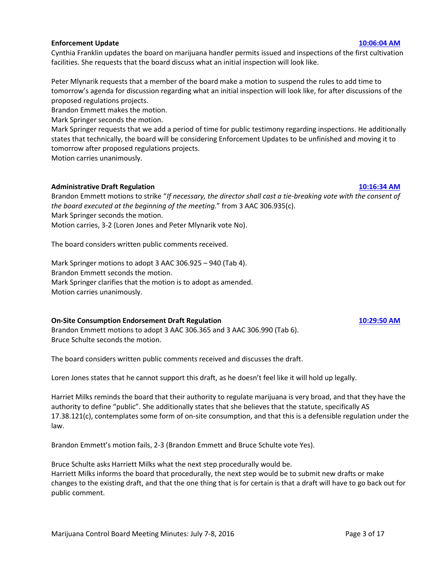### **Enforcement Update [10:06:04 AM](ftr://?location="ABC Board"?date="07-Jul-2016"?position="10:06:04"?Data="269f5ae2")**

Cynthia Franklin updates the board on marijuana handler permits issued and inspections of the first cultivation facilities. She requests that the board discuss what an initial inspection will look like.

Peter Mlynarik requests that a member of the board make a motion to suspend the rules to add time to tomorrow's agenda for discussion regarding what an initial inspection will look like, for after discussions of the proposed regulations projects.

Brandon Emmett makes the motion.

Mark Springer seconds the motion.

Mark Springer requests that we add a period of time for public testimony regarding inspections. He additionally states that technically, the board will be considering Enforcement Updates to be unfinished and moving it to tomorrow after proposed regulations projects.

Motion carries unanimously.

# **Administrative Draft Regulation [10:16:34 AM](ftr://?location="ABC Board"?date="07-Jul-2016"?position="10:16:34"?Data="3bae6423")**

Brandon Emmett motions to strike "*If necessary, the director shall cast a tie-breaking vote with the consent of the board executed at the beginning of the meeting.*" from 3 AAC 306.935(c). Mark Springer seconds the motion.

Motion carries, 3-2 (Loren Jones and Peter Mlynarik vote No).

The board considers written public comments received.

Mark Springer motions to adopt 3 AAC 306.925 – 940 (Tab 4). Brandon Emmett seconds the motion. Mark Springer clarifies that the motion is to adopt as amended. Motion carries unanimously.

# **On-Site Consumption Endorsement Draft Regulation [10:29:50 AM](ftr://?location="ABC Board"?date="07-Jul-2016"?position="10:29:50"?Data="e4009914")**

Brandon Emmett motions to adopt 3 AAC 306.365 and 3 AAC 306.990 (Tab 6). Bruce Schulte seconds the motion.

The board considers written public comments received and discusses the draft.

Loren Jones states that he cannot support this draft, as he doesn't feel like it will hold up legally.

Harriet Milks reminds the board that their authority to regulate marijuana is very broad, and that they have the authority to define "public". She additionally states that she believes that the statute, specifically AS 17.38.121(c), contemplates some form of on-site consumption, and that this is a defensible regulation under the law.

Brandon Emmett's motion fails, 2-3 (Brandon Emmett and Bruce Schulte vote Yes).

Bruce Schulte asks Harriett Milks what the next step procedurally would be. Harriett Milks informs the board that procedurally, the next step would be to submit new drafts or make changes to the existing draft, and that the one thing that is for certain is that a draft will have to go back out for public comment.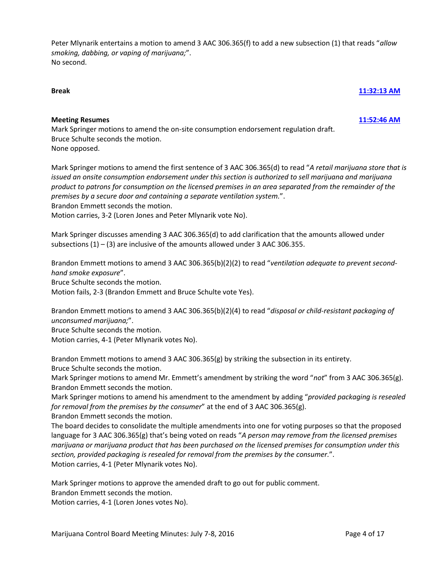Peter Mlynarik entertains a motion to amend 3 AAC 306.365(f) to add a new subsection (1) that reads "*allow smoking, dabbing, or vaping of marijuana;*". No second.

### **Break [11:32:13 AM](ftr://?location="ABC Board"?date="07-Jul-2016"?position="11:32:13"?Data="a00952e5")**

### **Meeting Resumes [11:52:46 AM](ftr://?location="ABC Board"?date="07-Jul-2016"?position="11:52:46"?Data="28279684")**

Mark Springer motions to amend the on-site consumption endorsement regulation draft. Bruce Schulte seconds the motion. None opposed.

Mark Springer motions to amend the first sentence of 3 AAC 306.365(d) to read "*A retail marijuana store that is issued an onsite consumption endorsement under this section is authorized to sell marijuana and marijuana product to patrons for consumption on the licensed premises in an area separated from the remainder of the premises by a secure door and containing a separate ventilation system.*".

Brandon Emmett seconds the motion.

Motion carries, 3-2 (Loren Jones and Peter Mlynarik vote No).

Mark Springer discusses amending 3 AAC 306.365(d) to add clarification that the amounts allowed under subsections  $(1) - (3)$  are inclusive of the amounts allowed under 3 AAC 306.355.

Brandon Emmett motions to amend 3 AAC 306.365(b)(2)(2) to read "*ventilation adequate to prevent secondhand smoke exposure*". Bruce Schulte seconds the motion. Motion fails, 2-3 (Brandon Emmett and Bruce Schulte vote Yes).

Brandon Emmett motions to amend 3 AAC 306.365(b)(2)(4) to read "*disposal or child-resistant packaging of unconsumed marijuana;*".

Bruce Schulte seconds the motion.

Motion carries, 4-1 (Peter Mlynarik votes No).

Brandon Emmett motions to amend 3 AAC 306.365(g) by striking the subsection in its entirety.

Bruce Schulte seconds the motion.

Mark Springer motions to amend Mr. Emmett's amendment by striking the word "*not*" from 3 AAC 306.365(g). Brandon Emmett seconds the motion.

Mark Springer motions to amend his amendment to the amendment by adding "*provided packaging is resealed for removal from the premises by the consumer*" at the end of 3 AAC 306.365(g).

Brandon Emmett seconds the motion.

The board decides to consolidate the multiple amendments into one for voting purposes so that the proposed language for 3 AAC 306.365(g) that's being voted on reads "*A person may remove from the licensed premises marijuana or marijuana product that has been purchased on the licensed premises for consumption under this section, provided packaging is resealed for removal from the premises by the consumer.*". Motion carries, 4-1 (Peter Mlynarik votes No).

Mark Springer motions to approve the amended draft to go out for public comment.

Brandon Emmett seconds the motion.

Motion carries, 4-1 (Loren Jones votes No).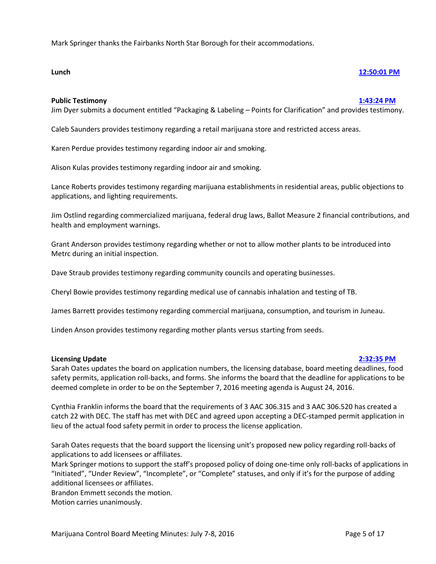Mark Springer thanks the Fairbanks North Star Borough for their accommodations.

### **Lunch [12:50:01 PM](ftr://?location="ABC Board"?date="07-Jul-2016"?position="12:50:01"?Data="035c88e4")**

### **Public Testimony [1:43:24 PM](ftr://?location="ABC Board"?date="07-Jul-2016"?position="13:43:24"?Data="a7b0bf20")**

Jim Dyer submits a document entitled "Packaging & Labeling – Points for Clarification" and provides testimony.

Caleb Saunders provides testimony regarding a retail marijuana store and restricted access areas.

Karen Perdue provides testimony regarding indoor air and smoking.

Alison Kulas provides testimony regarding indoor air and smoking.

Lance Roberts provides testimony regarding marijuana establishments in residential areas, public objections to applications, and lighting requirements.

Jim Ostlind regarding commercialized marijuana, federal drug laws, Ballot Measure 2 financial contributions, and health and employment warnings.

Grant Anderson provides testimony regarding whether or not to allow mother plants to be introduced into Metrc during an initial inspection.

Dave Straub provides testimony regarding community councils and operating businesses.

Cheryl Bowie provides testimony regarding medical use of cannabis inhalation and testing of TB.

James Barrett provides testimony regarding commercial marijuana, consumption, and tourism in Juneau.

Linden Anson provides testimony regarding mother plants versus starting from seeds.

### **Licensing Update [2:32:35 PM](ftr://?location="ABC Board"?date="07-Jul-2016"?position="14:32:35"?Data="b2f37124")**

Sarah Oates updates the board on application numbers, the licensing database, board meeting deadlines, food safety permits, application roll-backs, and forms. She informs the board that the deadline for applications to be deemed complete in order to be on the September 7, 2016 meeting agenda is August 24, 2016.

Cynthia Franklin informs the board that the requirements of 3 AAC 306.315 and 3 AAC 306.520 has created a catch 22 with DEC. The staff has met with DEC and agreed upon accepting a DEC-stamped permit application in lieu of the actual food safety permit in order to process the license application.

Sarah Oates requests that the board support the licensing unit's proposed new policy regarding roll-backs of applications to add licensees or affiliates.

Mark Springer motions to support the staff's proposed policy of doing one-time only roll-backs of applications in "Initiated", "Under Review", "Incomplete", or "Complete" statuses, and only if it's for the purpose of adding additional licensees or affiliates.

Brandon Emmett seconds the motion.

Motion carries unanimously.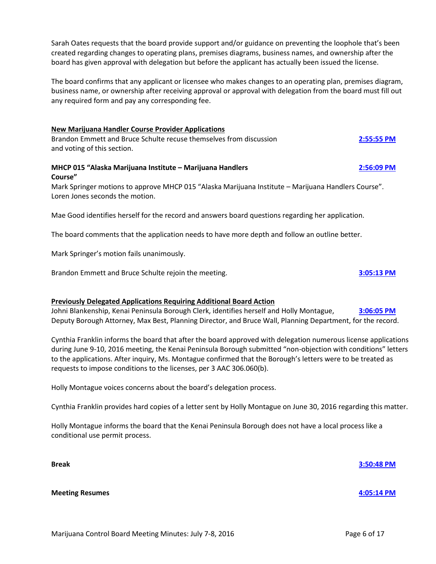Sarah Oates requests that the board provide support and/or guidance on preventing the loophole that's been created regarding changes to operating plans, premises diagrams, business names, and ownership after the board has given approval with delegation but before the applicant has actually been issued the license.

The board confirms that any applicant or licensee who makes changes to an operating plan, premises diagram, business name, or ownership after receiving approval or approval with delegation from the board must fill out any required form and pay any corresponding fee.

### **New Marijuana Handler Course Provider Applications**

Brandon Emmett and Bruce Schulte recuse themselves from discussion **[2:55:55 PM](ftr://?location="ABC Board"?date="07-Jul-2016"?position="14:55:55"?Data="694b2ca0")** and voting of this section.

### **MHCP 015 "Alaska Marijuana Institute – Marijuana Handlers [2:56:09 PM](ftr://?location="ABC Board"?date="07-Jul-2016"?position="14:56:09"?Data="9867b9a8") Course"**

Mark Springer motions to approve MHCP 015 "Alaska Marijuana Institute – Marijuana Handlers Course". Loren Jones seconds the motion.

Mae Good identifies herself for the record and answers board questions regarding her application.

The board comments that the application needs to have more depth and follow an outline better.

Mark Springer's motion fails unanimously.

Brandon Emmett and Bruce Schulte rejoin the meeting. **[3:05:13 PM](ftr://?location="ABC Board"?date="07-Jul-2016"?position="15:05:13"?Data="e17ad7eb")**

# **Previously Delegated Applications Requiring Additional Board Action**

Johni Blankenship, Kenai Peninsula Borough Clerk, identifies herself and Holly Montague, **[3:06:05 PM](ftr://?location="ABC Board"?date="07-Jul-2016"?position="15:06:05"?Data="e47ae091")** Deputy Borough Attorney, Max Best, Planning Director, and Bruce Wall, Planning Department, for the record.

Cynthia Franklin informs the board that after the board approved with delegation numerous license applications during June 9-10, 2016 meeting, the Kenai Peninsula Borough submitted "non-objection with conditions" letters to the applications. After inquiry, Ms. Montague confirmed that the Borough's letters were to be treated as requests to impose conditions to the licenses, per 3 AAC 306.060(b).

Holly Montague voices concerns about the board's delegation process.

Cynthia Franklin provides hard copies of a letter sent by Holly Montague on June 30, 2016 regarding this matter.

Holly Montague informs the board that the Kenai Peninsula Borough does not have a local process like a conditional use permit process.

**Break [3:50:48 PM](ftr://?location="ABC Board"?date="07-Jul-2016"?position="15:50:48"?Data="183c7d0d") Meeting Resumes [4:05:14 PM](ftr://?location="ABC Board"?date="07-Jul-2016"?position="16:05:14"?Data="55655ba0")**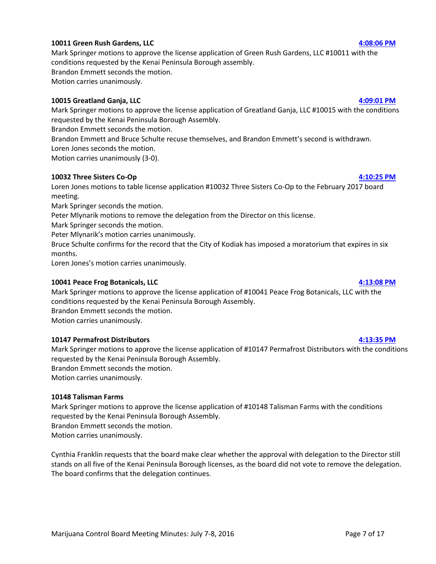### **10011 Green Rush Gardens, LLC [4:08:06 PM](ftr://?location="ABC Board"?date="07-Jul-2016"?position="16:08:06"?Data="c1cecb3e")**

Mark Springer motions to approve the license application of Green Rush Gardens, LLC #10011 with the conditions requested by the Kenai Peninsula Borough assembly. Brandon Emmett seconds the motion.

Motion carries unanimously.

# **10015 Greatland Ganja, LLC [4:09:01 PM](ftr://?location="ABC Board"?date="07-Jul-2016"?position="16:09:01"?Data="b3db98b9")**

Mark Springer motions to approve the license application of Greatland Ganja, LLC #10015 with the conditions requested by the Kenai Peninsula Borough Assembly.

Brandon Emmett seconds the motion.

Brandon Emmett and Bruce Schulte recuse themselves, and Brandon Emmett's second is withdrawn.

Loren Jones seconds the motion.

Motion carries unanimously (3-0).

# **10032 Three Sisters Co-Op [4:10:25 PM](ftr://?location="ABC Board"?date="07-Jul-2016"?position="16:10:25"?Data="16c1c940")**

Loren Jones motions to table license application #10032 Three Sisters Co-Op to the February 2017 board meeting.

Mark Springer seconds the motion.

Peter Mlynarik motions to remove the delegation from the Director on this license.

Mark Springer seconds the motion.

Peter Mlynarik's motion carries unanimously.

Bruce Schulte confirms for the record that the City of Kodiak has imposed a moratorium that expires in six months.

Loren Jones's motion carries unanimously.

# **10041 Peace Frog Botanicals, LLC [4:13:08 PM](ftr://?location="ABC Board"?date="07-Jul-2016"?position="16:13:08"?Data="42540b95")**

Mark Springer motions to approve the license application of #10041 Peace Frog Botanicals, LLC with the conditions requested by the Kenai Peninsula Borough Assembly.

Brandon Emmett seconds the motion.

Motion carries unanimously.

# **10147 Permafrost Distributors [4:13:35 PM](ftr://?location="ABC Board"?date="07-Jul-2016"?position="16:13:35"?Data="36aaa1e6")**

Mark Springer motions to approve the license application of #10147 Permafrost Distributors with the conditions requested by the Kenai Peninsula Borough Assembly. Brandon Emmett seconds the motion.

Motion carries unanimously.

# **10148 Talisman Farms**

Mark Springer motions to approve the license application of #10148 Talisman Farms with the conditions requested by the Kenai Peninsula Borough Assembly.

Brandon Emmett seconds the motion.

Motion carries unanimously.

Cynthia Franklin requests that the board make clear whether the approval with delegation to the Director still stands on all five of the Kenai Peninsula Borough licenses, as the board did not vote to remove the delegation. The board confirms that the delegation continues.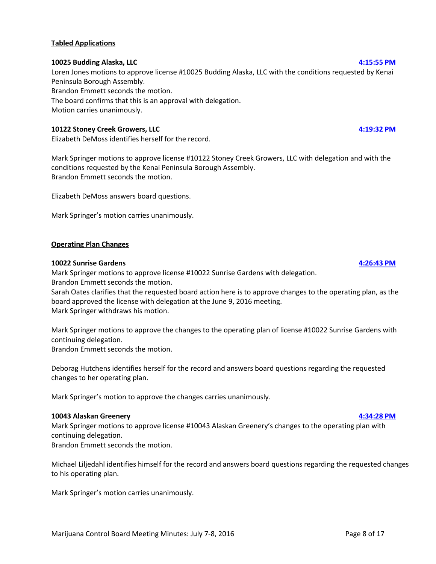### **Tabled Applications**

### **10025 Budding Alaska, LLC [4:15:55 PM](ftr://?location="ABC Board"?date="07-Jul-2016"?position="16:15:55"?Data="eded32bc")**

Loren Jones motions to approve license #10025 Budding Alaska, LLC with the conditions requested by Kenai Peninsula Borough Assembly. Brandon Emmett seconds the motion. The board confirms that this is an approval with delegation. Motion carries unanimously.

# **10122 Stoney Creek Growers, LLC [4:19:32 PM](ftr://?location="ABC Board"?date="07-Jul-2016"?position="16:19:32"?Data="bc5f0996")**

Elizabeth DeMoss identifies herself for the record.

Mark Springer motions to approve license #10122 Stoney Creek Growers, LLC with delegation and with the conditions requested by the Kenai Peninsula Borough Assembly. Brandon Emmett seconds the motion.

Elizabeth DeMoss answers board questions.

Mark Springer's motion carries unanimously.

### **Operating Plan Changes**

### **10022 Sunrise Gardens [4:26:43 PM](ftr://?location="ABC Board"?date="07-Jul-2016"?position="16:26:43"?Data="9f73d736")**

Mark Springer motions to approve license #10022 Sunrise Gardens with delegation. Brandon Emmett seconds the motion.

Sarah Oates clarifies that the requested board action here is to approve changes to the operating plan, as the board approved the license with delegation at the June 9, 2016 meeting. Mark Springer withdraws his motion.

Mark Springer motions to approve the changes to the operating plan of license #10022 Sunrise Gardens with continuing delegation.

Brandon Emmett seconds the motion.

Deborag Hutchens identifies herself for the record and answers board questions regarding the requested changes to her operating plan.

Mark Springer's motion to approve the changes carries unanimously.

### **10043 Alaskan Greenery [4:34:28 PM](ftr://?location="ABC Board"?date="07-Jul-2016"?position="16:34:28"?Data="017b2f78")**

Mark Springer motions to approve license #10043 Alaskan Greenery's changes to the operating plan with continuing delegation.

Brandon Emmett seconds the motion.

Michael Liljedahl identifies himself for the record and answers board questions regarding the requested changes to his operating plan.

Mark Springer's motion carries unanimously.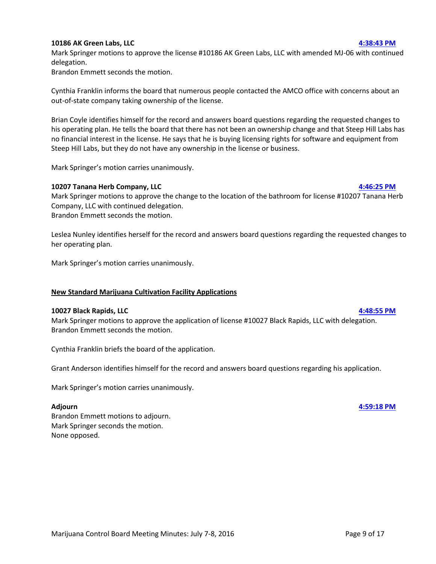### **10186 AK Green Labs, LLC [4:38:43 PM](ftr://?location="ABC Board"?date="07-Jul-2016"?position="16:38:43"?Data="1a1fabea")**

Mark Springer motions to approve the license #10186 AK Green Labs, LLC with amended MJ-06 with continued delegation.

Brandon Emmett seconds the motion.

Cynthia Franklin informs the board that numerous people contacted the AMCO office with concerns about an out-of-state company taking ownership of the license.

Brian Coyle identifies himself for the record and answers board questions regarding the requested changes to his operating plan. He tells the board that there has not been an ownership change and that Steep Hill Labs has no financial interest in the license. He says that he is buying licensing rights for software and equipment from Steep Hill Labs, but they do not have any ownership in the license or business.

Mark Springer's motion carries unanimously.

# **10207 Tanana Herb Company, LLC [4:46:25 PM](ftr://?location="ABC Board"?date="07-Jul-2016"?position="16:46:25"?Data="837cce17")**

Mark Springer motions to approve the change to the location of the bathroom for license #10207 Tanana Herb Company, LLC with continued delegation. Brandon Emmett seconds the motion.

Leslea Nunley identifies herself for the record and answers board questions regarding the requested changes to her operating plan.

Mark Springer's motion carries unanimously.

# **New Standard Marijuana Cultivation Facility Applications**

# **10027 Black Rapids, LLC [4:48:55 PM](ftr://?location="ABC Board"?date="07-Jul-2016"?position="16:48:55"?Data="80b0ce1c")**

Mark Springer motions to approve the application of license #10027 Black Rapids, LLC with delegation. Brandon Emmett seconds the motion.

Cynthia Franklin briefs the board of the application.

Grant Anderson identifies himself for the record and answers board questions regarding his application.

Mark Springer's motion carries unanimously.

Brandon Emmett motions to adjourn. Mark Springer seconds the motion. None opposed.

**Adjourn [4:59:18 PM](ftr://?location="ABC Board"?date="07-Jul-2016"?position="16:59:18"?Data="9d2c7386")**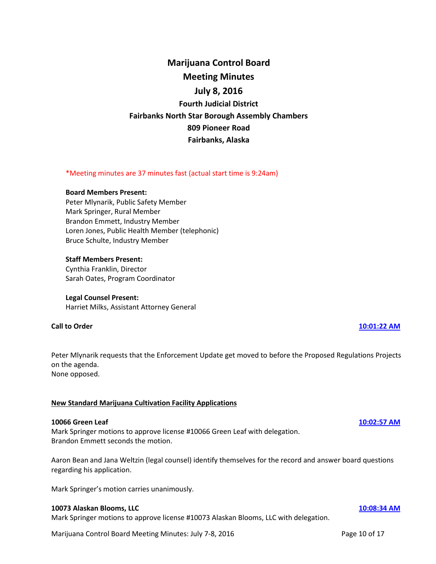# **Marijuana Control Board Meeting Minutes July 8, 2016 Fourth Judicial District Fairbanks North Star Borough Assembly Chambers 809 Pioneer Road Fairbanks, Alaska**

### \*Meeting minutes are 37 minutes fast (actual start time is 9:24am)

#### **Board Members Present:**

Peter Mlynarik, Public Safety Member Mark Springer, Rural Member Brandon Emmett, Industry Member Loren Jones, Public Health Member (telephonic) Bruce Schulte, Industry Member

### **Staff Members Present:**

Cynthia Franklin, Director Sarah Oates, Program Coordinator

### **Legal Counsel Present:**

Harriet Milks, Assistant Attorney General

### **Call to Order [10:01:22 AM](ftr://?location="ABC Board"?date="08-Jul-2016"?position="10:01:22"?Data="a8c902d9")**

Peter Mlynarik requests that the Enforcement Update get moved to before the Proposed Regulations Projects on the agenda. None opposed.

### **New Standard Marijuana Cultivation Facility Applications**

### **10066 Green Leaf [10:02:57 AM](ftr://?location="ABC Board"?date="08-Jul-2016"?position="10:02:57"?Data="69257950")**

Mark Springer motions to approve license #10066 Green Leaf with delegation. Brandon Emmett seconds the motion.

Aaron Bean and Jana Weltzin (legal counsel) identify themselves for the record and answer board questions regarding his application.

Mark Springer's motion carries unanimously.

### **10073 Alaskan Blooms, LLC [10:08:34 AM](ftr://?location="ABC Board"?date="08-Jul-2016"?position="10:08:34"?Data="baeba56a")**

Mark Springer motions to approve license #10073 Alaskan Blooms, LLC with delegation.

Marijuana Control Board Meeting Minutes: July 7-8, 2016 **Page 10 of 17** Page 10 of 17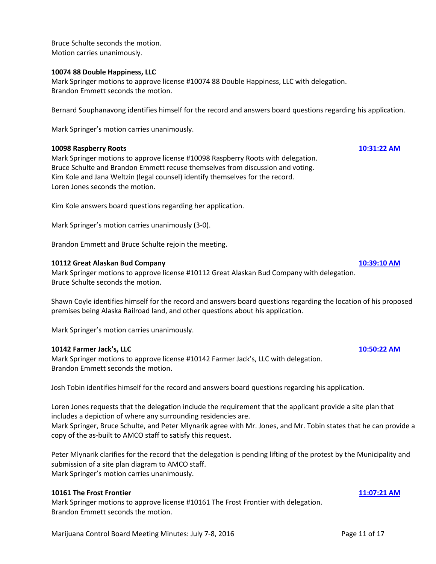Bruce Schulte seconds the motion. Motion carries unanimously.

### **10074 88 Double Happiness, LLC**

Mark Springer motions to approve license #10074 88 Double Happiness, LLC with delegation. Brandon Emmett seconds the motion.

Bernard Souphanavong identifies himself for the record and answers board questions regarding his application.

Mark Springer's motion carries unanimously.

### **10098 Raspberry Roots [10:31:22 AM](ftr://?location="ABC Board"?date="08-Jul-2016"?position="10:31:22"?Data="df57d029")**

Mark Springer motions to approve license #10098 Raspberry Roots with delegation. Bruce Schulte and Brandon Emmett recuse themselves from discussion and voting. Kim Kole and Jana Weltzin (legal counsel) identify themselves for the record. Loren Jones seconds the motion.

Kim Kole answers board questions regarding her application.

Mark Springer's motion carries unanimously (3-0).

Brandon Emmett and Bruce Schulte rejoin the meeting.

### **10112 Great Alaskan Bud Company [10:39:10 AM](ftr://?location="ABC Board"?date="08-Jul-2016"?position="10:39:10"?Data="e01d2af8")**

Mark Springer motions to approve license #10112 Great Alaskan Bud Company with delegation. Bruce Schulte seconds the motion.

Shawn Coyle identifies himself for the record and answers board questions regarding the location of his proposed premises being Alaska Railroad land, and other questions about his application.

Mark Springer's motion carries unanimously.

### **10142 Farmer Jack's, LLC [10:50:22 AM](ftr://?location="ABC Board"?date="08-Jul-2016"?position="10:50:22"?Data="dfa81ef7")**

Mark Springer motions to approve license #10142 Farmer Jack's, LLC with delegation. Brandon Emmett seconds the motion.

Josh Tobin identifies himself for the record and answers board questions regarding his application.

Loren Jones requests that the delegation include the requirement that the applicant provide a site plan that includes a depiction of where any surrounding residencies are. Mark Springer, Bruce Schulte, and Peter Mlynarik agree with Mr. Jones, and Mr. Tobin states that he can provide a copy of the as-built to AMCO staff to satisfy this request.

Peter Mlynarik clarifies for the record that the delegation is pending lifting of the protest by the Municipality and submission of a site plan diagram to AMCO staff. Mark Springer's motion carries unanimously.

### **10161 The Frost Frontier [11:07:21 AM](ftr://?location="ABC Board"?date="08-Jul-2016"?position="11:07:21"?Data="190a4ce1")**

Mark Springer motions to approve license #10161 The Frost Frontier with delegation. Brandon Emmett seconds the motion.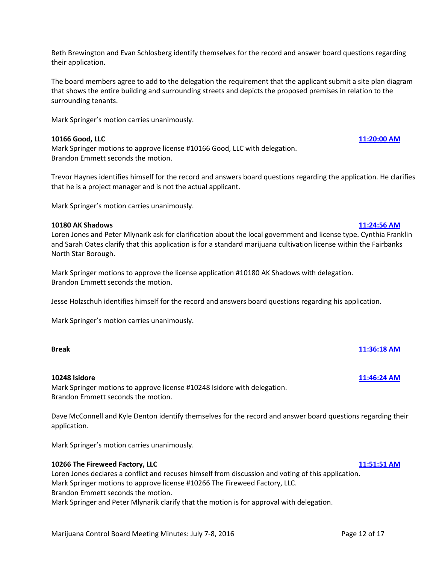Beth Brewington and Evan Schlosberg identify themselves for the record and answer board questions regarding their application.

The board members agree to add to the delegation the requirement that the applicant submit a site plan diagram that shows the entire building and surrounding streets and depicts the proposed premises in relation to the surrounding tenants.

Mark Springer's motion carries unanimously.

# **10166 Good, LLC [11:20:00 AM](ftr://?location="ABC Board"?date="08-Jul-2016"?position="11:20:00"?Data="e2990f69")**

Mark Springer motions to approve license #10166 Good, LLC with delegation. Brandon Emmett seconds the motion.

Trevor Haynes identifies himself for the record and answers board questions regarding the application. He clarifies that he is a project manager and is not the actual applicant.

Mark Springer's motion carries unanimously.

# **10180 AK Shadows [11:24:56 AM](ftr://?location="ABC Board"?date="08-Jul-2016"?position="11:24:56"?Data="9ed4617c")**

Loren Jones and Peter Mlynarik ask for clarification about the local government and license type. Cynthia Franklin and Sarah Oates clarify that this application is for a standard marijuana cultivation license within the Fairbanks North Star Borough.

Mark Springer motions to approve the license application #10180 AK Shadows with delegation. Brandon Emmett seconds the motion.

Jesse Holzschuh identifies himself for the record and answers board questions regarding his application.

Mark Springer's motion carries unanimously.

# **Break [11:36:18 AM](ftr://?location="ABC Board"?date="08-Jul-2016"?position="11:36:18"?Data="7acac80b")**

# **10248 Isidore [11:46:24 AM](ftr://?location="ABC Board"?date="08-Jul-2016"?position="11:46:24"?Data="c210ec92")**

Mark Springer motions to approve license #10248 Isidore with delegation. Brandon Emmett seconds the motion.

Dave McConnell and Kyle Denton identify themselves for the record and answer board questions regarding their application.

Mark Springer's motion carries unanimously.

# **10266 The Fireweed Factory, LLC [11:51:51 AM](ftr://?location="ABC Board"?date="08-Jul-2016"?position="11:51:51"?Data="91b27b0e")**

Loren Jones declares a conflict and recuses himself from discussion and voting of this application. Mark Springer motions to approve license #10266 The Fireweed Factory, LLC. Brandon Emmett seconds the motion. Mark Springer and Peter Mlynarik clarify that the motion is for approval with delegation.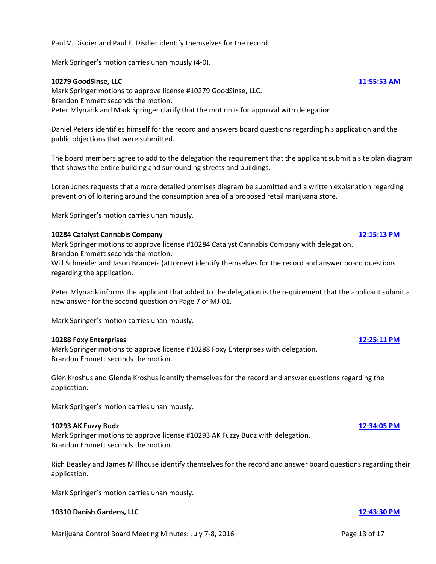Paul V. Disdier and Paul F. Disdier identify themselves for the record.

Mark Springer's motion carries unanimously (4-0).

### **10279 GoodSinse, LLC [11:55:53 AM](ftr://?location="ABC Board"?date="08-Jul-2016"?position="11:55:53"?Data="325013ff")**

Mark Springer motions to approve license #10279 GoodSinse, LLC. Brandon Emmett seconds the motion. Peter Mlynarik and Mark Springer clarify that the motion is for approval with delegation.

Daniel Peters identifies himself for the record and answers board questions regarding his application and the public objections that were submitted.

The board members agree to add to the delegation the requirement that the applicant submit a site plan diagram that shows the entire building and surrounding streets and buildings.

Loren Jones requests that a more detailed premises diagram be submitted and a written explanation regarding prevention of loitering around the consumption area of a proposed retail marijuana store.

Mark Springer's motion carries unanimously.

### **10284 Catalyst Cannabis Company [12:15:13 PM](ftr://?location="ABC Board"?date="08-Jul-2016"?position="12:15:13"?Data="830fde64")**

Mark Springer motions to approve license #10284 Catalyst Cannabis Company with delegation. Brandon Emmett seconds the motion.

Will Schneider and Jason Brandeis (attorney) identify themselves for the record and answer board questions regarding the application.

Peter Mlynarik informs the applicant that added to the delegation is the requirement that the applicant submit a new answer for the second question on Page 7 of MJ-01.

Mark Springer's motion carries unanimously.

### **10288 Foxy Enterprises [12:25:11 PM](ftr://?location="ABC Board"?date="08-Jul-2016"?position="12:25:11"?Data="5e98c41f")**

Mark Springer motions to approve license #10288 Foxy Enterprises with delegation. Brandon Emmett seconds the motion.

Glen Kroshus and Glenda Kroshus identify themselves for the record and answer questions regarding the application.

Mark Springer's motion carries unanimously.

### **10293 AK Fuzzy Budz [12:34:05 PM](ftr://?location="ABC Board"?date="08-Jul-2016"?position="12:34:05"?Data="6ec1a7bc")**

Mark Springer motions to approve license #10293 AK Fuzzy Budz with delegation. Brandon Emmett seconds the motion.

Rich Beasley and James Millhouse identify themselves for the record and answer board questions regarding their application.

Mark Springer's motion carries unanimously.

### **10310 Danish Gardens, LLC [12:43:30 PM](ftr://?location="ABC Board"?date="08-Jul-2016"?position="12:43:30"?Data="49cfd7d6")**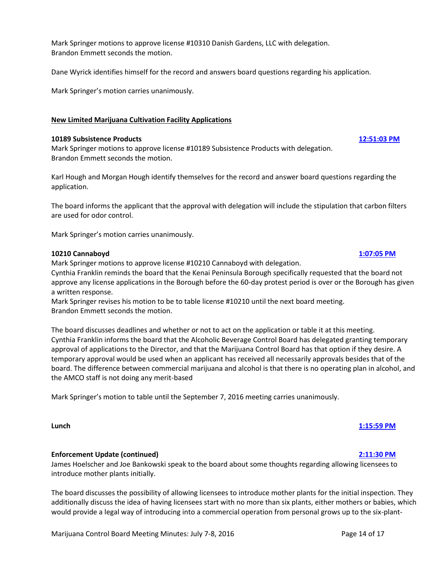Mark Springer motions to approve license #10310 Danish Gardens, LLC with delegation. Brandon Emmett seconds the motion.

Dane Wyrick identifies himself for the record and answers board questions regarding his application.

Mark Springer's motion carries unanimously.

### **New Limited Marijuana Cultivation Facility Applications**

### **10189 Subsistence Products [12:51:03 PM](ftr://?location="ABC Board"?date="08-Jul-2016"?position="12:51:03"?Data="42be96c4")**

Mark Springer motions to approve license #10189 Subsistence Products with delegation. Brandon Emmett seconds the motion.

Karl Hough and Morgan Hough identify themselves for the record and answer board questions regarding the application.

The board informs the applicant that the approval with delegation will include the stipulation that carbon filters are used for odor control.

Mark Springer's motion carries unanimously.

#### **10210 Cannaboyd [1:07:05 PM](ftr://?location="ABC Board"?date="08-Jul-2016"?position="13:07:05"?Data="5c005fde")**

Mark Springer motions to approve license #10210 Cannaboyd with delegation.

Cynthia Franklin reminds the board that the Kenai Peninsula Borough specifically requested that the board not approve any license applications in the Borough before the 60-day protest period is over or the Borough has given a written response.

Mark Springer revises his motion to be to table license #10210 until the next board meeting. Brandon Emmett seconds the motion.

The board discusses deadlines and whether or not to act on the application or table it at this meeting. Cynthia Franklin informs the board that the Alcoholic Beverage Control Board has delegated granting temporary approval of applications to the Director, and that the Marijuana Control Board has that option if they desire. A temporary approval would be used when an applicant has received all necessarily approvals besides that of the board. The difference between commercial marijuana and alcohol is that there is no operating plan in alcohol, and the AMCO staff is not doing any merit-based

Mark Springer's motion to table until the September 7, 2016 meeting carries unanimously.

# **Enforcement Update (continued) [2:11:30 PM](ftr://?location="ABC Board"?date="08-Jul-2016"?position="14:11:30"?Data="8608191f")**

James Hoelscher and Joe Bankowski speak to the board about some thoughts regarding allowing licensees to introduce mother plants initially.

**Lunch [1:15:59 PM](ftr://?location="ABC Board"?date="08-Jul-2016"?position="13:15:59"?Data="d94bed87")**

The board discusses the possibility of allowing licensees to introduce mother plants for the initial inspection. They additionally discuss the idea of having licensees start with no more than six plants, either mothers or babies, which would provide a legal way of introducing into a commercial operation from personal grows up to the six-plant-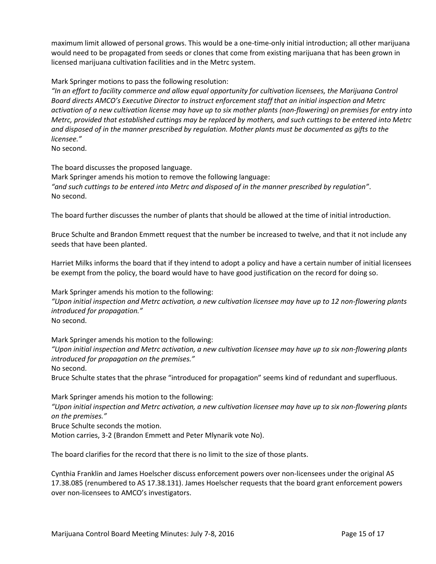maximum limit allowed of personal grows. This would be a one-time-only initial introduction; all other marijuana would need to be propagated from seeds or clones that come from existing marijuana that has been grown in licensed marijuana cultivation facilities and in the Metrc system.

Mark Springer motions to pass the following resolution:

*"In an effort to facility commerce and allow equal opportunity for cultivation licensees, the Marijuana Control Board directs AMCO's Executive Director to instruct enforcement staff that an initial inspection and Metrc activation of a new cultivation license may have up to six mother plants (non-flowering) on premises for entry into Metrc, provided that established cuttings may be replaced by mothers, and such cuttings to be entered into Metrc and disposed of in the manner prescribed by regulation. Mother plants must be documented as gifts to the licensee."*

No second.

The board discusses the proposed language.

Mark Springer amends his motion to remove the following language: *"and such cuttings to be entered into Metrc and disposed of in the manner prescribed by regulation"*. No second.

The board further discusses the number of plants that should be allowed at the time of initial introduction.

Bruce Schulte and Brandon Emmett request that the number be increased to twelve, and that it not include any seeds that have been planted.

Harriet Milks informs the board that if they intend to adopt a policy and have a certain number of initial licensees be exempt from the policy, the board would have to have good justification on the record for doing so.

Mark Springer amends his motion to the following:

*"Upon initial inspection and Metrc activation, a new cultivation licensee may have up to 12 non-flowering plants introduced for propagation."*

No second.

Mark Springer amends his motion to the following:

*"Upon initial inspection and Metrc activation, a new cultivation licensee may have up to six non-flowering plants introduced for propagation on the premises."*

No second.

Bruce Schulte states that the phrase "introduced for propagation" seems kind of redundant and superfluous.

Mark Springer amends his motion to the following:

*"Upon initial inspection and Metrc activation, a new cultivation licensee may have up to six non-flowering plants on the premises."*

Bruce Schulte seconds the motion.

Motion carries, 3-2 (Brandon Emmett and Peter Mlynarik vote No).

The board clarifies for the record that there is no limit to the size of those plants.

Cynthia Franklin and James Hoelscher discuss enforcement powers over non-licensees under the original AS 17.38.085 (renumbered to AS 17.38.131). James Hoelscher requests that the board grant enforcement powers over non-licensees to AMCO's investigators.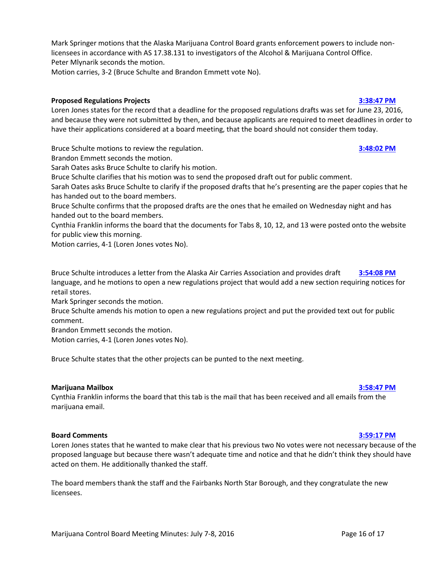Mark Springer motions that the Alaska Marijuana Control Board grants enforcement powers to include nonlicensees in accordance with AS 17.38.131 to investigators of the Alcohol & Marijuana Control Office. Peter Mlynarik seconds the motion.

Motion carries, 3-2 (Bruce Schulte and Brandon Emmett vote No).

# **Proposed Regulations Projects [3:38:47 PM](ftr://?location="ABC Board"?date="08-Jul-2016"?position="15:38:47"?Data="b89c35da")**

Loren Jones states for the record that a deadline for the proposed regulations drafts was set for June 23, 2016, and because they were not submitted by then, and because applicants are required to meet deadlines in order to have their applications considered at a board meeting, that the board should not consider them today.

Bruce Schulte motions to review the regulation. **[3:48:02](ftr://?location="ABC Board"?date="08-Jul-2016"?position="15:54:08"?Data="8e6f22f4") PM**

Brandon Emmett seconds the motion.

Sarah Oates asks Bruce Schulte to clarify his motion.

Bruce Schulte clarifies that his motion was to send the proposed draft out for public comment.

Sarah Oates asks Bruce Schulte to clarify if the proposed drafts that he's presenting are the paper copies that he has handed out to the board members.

Bruce Schulte confirms that the proposed drafts are the ones that he emailed on Wednesday night and has handed out to the board members.

Cynthia Franklin informs the board that the documents for Tabs 8, 10, 12, and 13 were posted onto the website for public view this morning.

Motion carries, 4-1 (Loren Jones votes No).

Bruce Schulte introduces a letter from the Alaska Air Carries Association and provides draft **[3:54:08 PM](ftr://?location="ABC Board"?date="08-Jul-2016"?position="15:54:08"?Data="8e6f22f4")** language, and he motions to open a new regulations project that would add a new section requiring notices for retail stores.

Mark Springer seconds the motion.

Bruce Schulte amends his motion to open a new regulations project and put the provided text out for public comment.

Brandon Emmett seconds the motion.

Motion carries, 4-1 (Loren Jones votes No).

Bruce Schulte states that the other projects can be punted to the next meeting.

# **Marijuana Mailbox [3:58:47 PM](ftr://?location="ABC Board"?date="08-Jul-2016"?position="15:58:47"?Data="57a1903a")**

Cynthia Franklin informs the board that this tab is the mail that has been received and all emails from the marijuana email.

### **Board Comments [3:59:17 PM](ftr://?location="ABC Board"?date="08-Jul-2016"?position="15:59:17"?Data="e8ae6ab7")**

Loren Jones states that he wanted to make clear that his previous two No votes were not necessary because of the proposed language but because there wasn't adequate time and notice and that he didn't think they should have acted on them. He additionally thanked the staff.

The board members thank the staff and the Fairbanks North Star Borough, and they congratulate the new licensees.